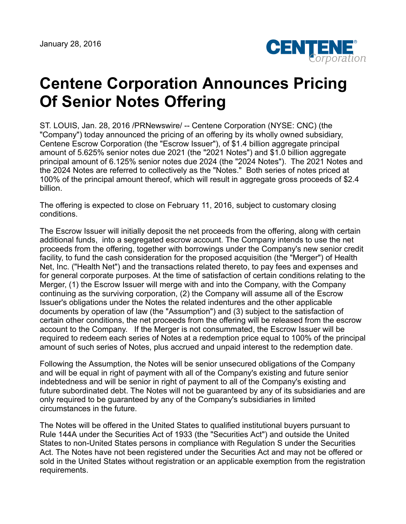

## **Centene Corporation Announces Pricing Of Senior Notes Offering**

ST. LOUIS, Jan. 28, 2016 /PRNewswire/ -- Centene Corporation (NYSE: CNC) (the "Company") today announced the pricing of an offering by its wholly owned subsidiary, Centene Escrow Corporation (the "Escrow Issuer"), of \$1.4 billion aggregate principal amount of 5.625% senior notes due 2021 (the "2021 Notes") and \$1.0 billion aggregate principal amount of 6.125% senior notes due 2024 (the "2024 Notes"). The 2021 Notes and the 2024 Notes are referred to collectively as the "Notes." Both series of notes priced at 100% of the principal amount thereof, which will result in aggregate gross proceeds of \$2.4 billion.

The offering is expected to close on February 11, 2016, subject to customary closing conditions.

The Escrow Issuer will initially deposit the net proceeds from the offering, along with certain additional funds, into a segregated escrow account. The Company intends to use the net proceeds from the offering, together with borrowings under the Company's new senior credit facility, to fund the cash consideration for the proposed acquisition (the "Merger") of Health Net, Inc. ("Health Net") and the transactions related thereto, to pay fees and expenses and for general corporate purposes. At the time of satisfaction of certain conditions relating to the Merger, (1) the Escrow Issuer will merge with and into the Company, with the Company continuing as the surviving corporation, (2) the Company will assume all of the Escrow Issuer's obligations under the Notes the related indentures and the other applicable documents by operation of law (the "Assumption") and (3) subject to the satisfaction of certain other conditions, the net proceeds from the offering will be released from the escrow account to the Company. If the Merger is not consummated, the Escrow Issuer will be required to redeem each series of Notes at a redemption price equal to 100% of the principal amount of such series of Notes, plus accrued and unpaid interest to the redemption date.

Following the Assumption, the Notes will be senior unsecured obligations of the Company and will be equal in right of payment with all of the Company's existing and future senior indebtedness and will be senior in right of payment to all of the Company's existing and future subordinated debt. The Notes will not be guaranteed by any of its subsidiaries and are only required to be guaranteed by any of the Company's subsidiaries in limited circumstances in the future.

The Notes will be offered in the United States to qualified institutional buyers pursuant to Rule 144A under the Securities Act of 1933 (the "Securities Act") and outside the United States to non-United States persons in compliance with Regulation S under the Securities Act. The Notes have not been registered under the Securities Act and may not be offered or sold in the United States without registration or an applicable exemption from the registration requirements.